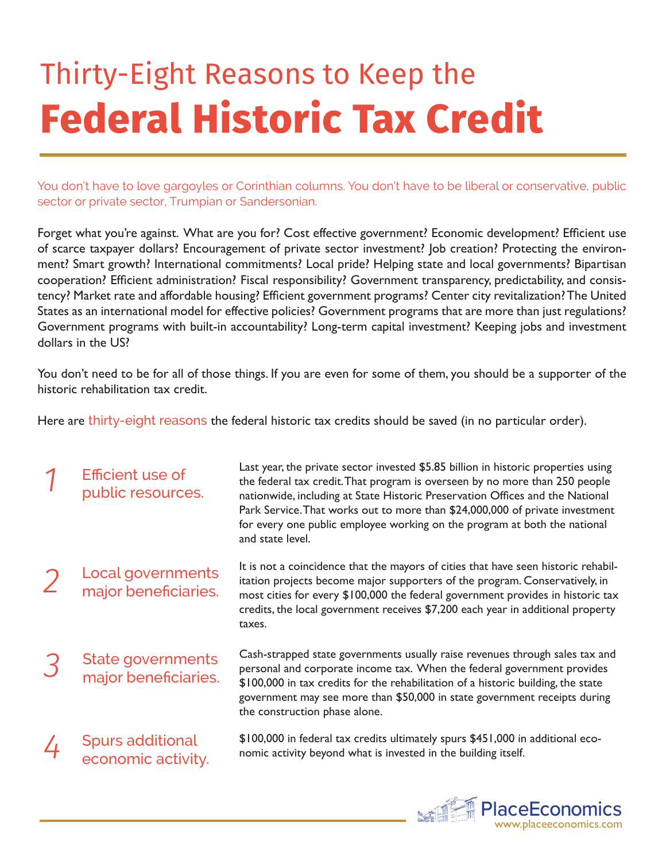## Thirty-Eight Reasons to Keep the **Federal Historic Tax Credit**

You don't have to love gargoyles or Corinthian columns. You don't have to be liberal or conservative, public sector or private sector, Trumpian or Sandersonian.

Forget what you're against. What are you for? Cost effective government? Economic development? Efficient use of scarce taxpayer dollars? Encouragement of private sector investment? Job creation? Protecting the environment? Smart growth? International commitments? Local pride? Helping state and local governments? Bipartisan cooperation? Efficient administration? Fiscal responsibility? Government transparency, predictability, and consistency? Market rate and affordable housing? Efficient government programs? Center city revitalization? The United States as an international model for effective policies? Government programs that are more than just regulations? Government programs with built-in accountability? Long-term capital investment? Keeping jobs and investment dollars in the US?

You don't need to be for all of those things. If you are even for some of them, you should be a supporter of the historic rehabilitation tax credit.

Last year, the private sector invested \$5.85 billion in historic properties using

Here are thirty-eight reasons the federal historic tax credits should be saved (in no particular order).

| Efficient use of<br>public resources.            | Last year, the private sector invested \$5.85 billion in historic properties using<br>the federal tax credit. That program is overseen by no more than 250 people<br>nationwide, including at State Historic Preservation Offices and the National<br>Park Service. That works out to more than \$24,000,000 of private investment<br>for every one public employee working on the program at both the national<br>and state level. |
|--------------------------------------------------|-------------------------------------------------------------------------------------------------------------------------------------------------------------------------------------------------------------------------------------------------------------------------------------------------------------------------------------------------------------------------------------------------------------------------------------|
| <b>Local governments</b><br>major beneficiaries. | It is not a coincidence that the mayors of cities that have seen historic rehabil-<br>itation projects become major supporters of the program. Conservatively, in<br>most cities for every \$100,000 the federal government provides in historic tax<br>credits, the local government receives \$7,200 each year in additional property<br>taxes.                                                                                   |
| <b>State governments</b><br>major beneficiaries. | Cash-strapped state governments usually raise revenues through sales tax and<br>personal and corporate income tax. When the federal government provides<br>\$100,000 in tax credits for the rehabilitation of a historic building, the state<br>government may see more than \$50,000 in state government receipts during<br>the construction phase alone.                                                                          |
| <b>Spurs additional</b><br>economic activity.    | \$100,000 in federal tax credits ultimately spurs \$451,000 in additional eco-<br>nomic activity beyond what is invested in the building itself.                                                                                                                                                                                                                                                                                    |

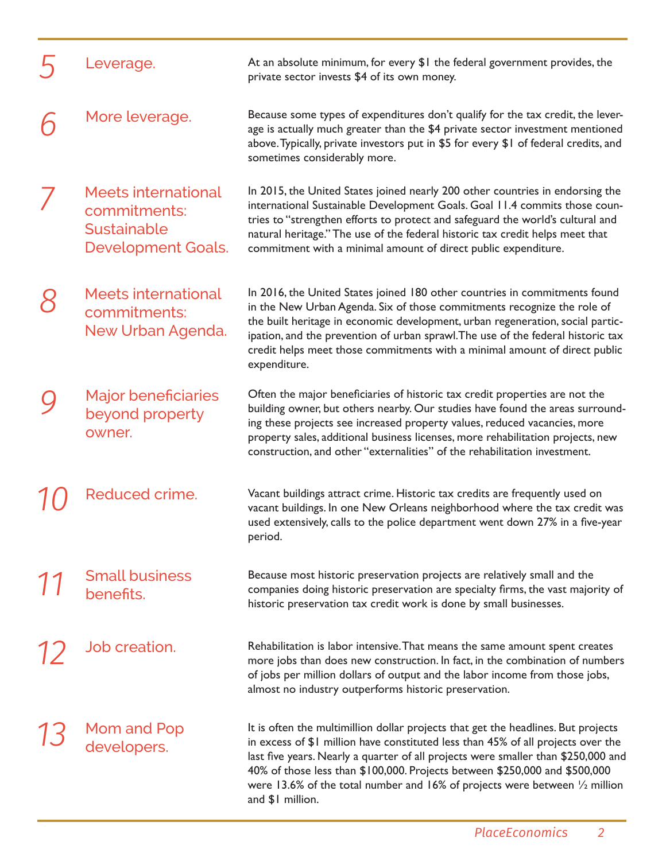| Leverage.                                                                       | At an absolute minimum, for every \$1 the federal government provides, the<br>private sector invests \$4 of its own money.                                                                                                                                                                                                                                                                                                                            |
|---------------------------------------------------------------------------------|-------------------------------------------------------------------------------------------------------------------------------------------------------------------------------------------------------------------------------------------------------------------------------------------------------------------------------------------------------------------------------------------------------------------------------------------------------|
| More leverage.                                                                  | Because some types of expenditures don't qualify for the tax credit, the lever-<br>age is actually much greater than the \$4 private sector investment mentioned<br>above. Typically, private investors put in \$5 for every \$1 of federal credits, and<br>sometimes considerably more.                                                                                                                                                              |
| <b>Meets international</b><br>commitments:<br>Sustainable<br>Development Goals. | In 2015, the United States joined nearly 200 other countries in endorsing the<br>international Sustainable Development Goals. Goal 11.4 commits those coun-<br>tries to "strengthen efforts to protect and safeguard the world's cultural and<br>natural heritage." The use of the federal historic tax credit helps meet that<br>commitment with a minimal amount of direct public expenditure.                                                      |
| <b>Meets international</b><br>commitments:<br>New Urban Agenda.                 | In 2016, the United States joined 180 other countries in commitments found<br>in the New Urban Agenda. Six of those commitments recognize the role of<br>the built heritage in economic development, urban regeneration, social partic-<br>ipation, and the prevention of urban sprawl. The use of the federal historic tax<br>credit helps meet those commitments with a minimal amount of direct public<br>expenditure.                             |
| <b>Major beneficiaries</b><br>beyond property<br>owner.                         | Often the major beneficiaries of historic tax credit properties are not the<br>building owner, but others nearby. Our studies have found the areas surround-<br>ing these projects see increased property values, reduced vacancies, more<br>property sales, additional business licenses, more rehabilitation projects, new<br>construction, and other "externalities" of the rehabilitation investment.                                             |
| Reduced crime.                                                                  | Vacant buildings attract crime. Historic tax credits are frequently used on<br>vacant buildings. In one New Orleans neighborhood where the tax credit was<br>used extensively, calls to the police department went down 27% in a five-year<br>period.                                                                                                                                                                                                 |
| <b>Small business</b><br>benefits.                                              | Because most historic preservation projects are relatively small and the<br>companies doing historic preservation are specialty firms, the vast majority of<br>historic preservation tax credit work is done by small businesses.                                                                                                                                                                                                                     |
| Job creation.                                                                   | Rehabilitation is labor intensive. That means the same amount spent creates<br>more jobs than does new construction. In fact, in the combination of numbers<br>of jobs per million dollars of output and the labor income from those jobs,<br>almost no industry outperforms historic preservation.                                                                                                                                                   |
| Mom and Pop<br>developers.                                                      | It is often the multimillion dollar projects that get the headlines. But projects<br>in excess of \$1 million have constituted less than 45% of all projects over the<br>last five years. Nearly a quarter of all projects were smaller than \$250,000 and<br>40% of those less than \$100,000. Projects between \$250,000 and \$500,000<br>were 13.6% of the total number and 16% of projects were between $\frac{1}{2}$ million<br>and \$1 million. |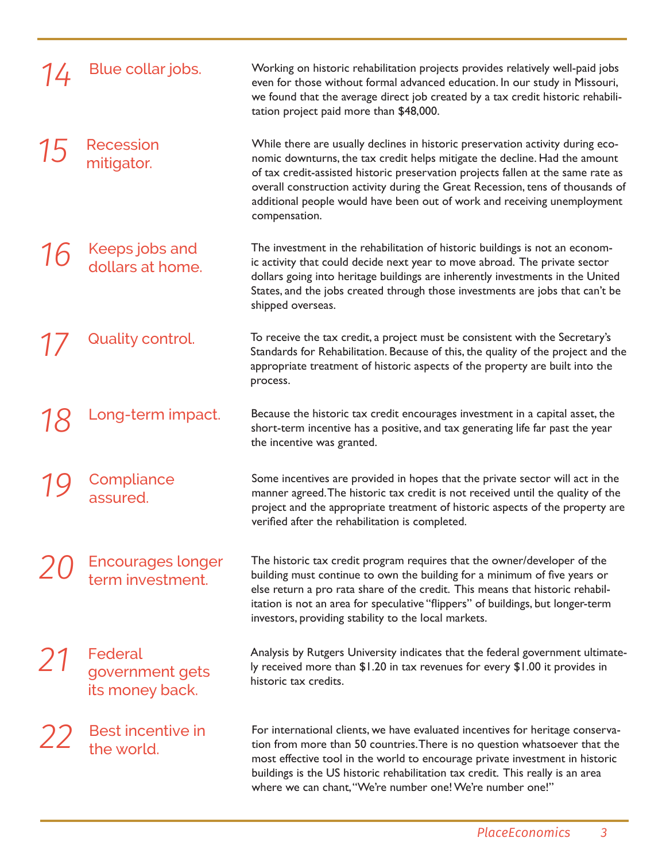| Blue collar jobs.                             | Working on historic rehabilitation projects provides relatively well-paid jobs<br>even for those without formal advanced education. In our study in Missouri,<br>we found that the average direct job created by a tax credit historic rehabili-<br>tation project paid more than \$48,000.                                                                                                                                     |
|-----------------------------------------------|---------------------------------------------------------------------------------------------------------------------------------------------------------------------------------------------------------------------------------------------------------------------------------------------------------------------------------------------------------------------------------------------------------------------------------|
| <b>Recession</b><br>mitigator.                | While there are usually declines in historic preservation activity during eco-<br>nomic downturns, the tax credit helps mitigate the decline. Had the amount<br>of tax credit-assisted historic preservation projects fallen at the same rate as<br>overall construction activity during the Great Recession, tens of thousands of<br>additional people would have been out of work and receiving unemployment<br>compensation. |
| Keeps jobs and<br>dollars at home.            | The investment in the rehabilitation of historic buildings is not an econom-<br>ic activity that could decide next year to move abroad. The private sector<br>dollars going into heritage buildings are inherently investments in the United<br>States, and the jobs created through those investments are jobs that can't be<br>shipped overseas.                                                                              |
| Quality control.                              | To receive the tax credit, a project must be consistent with the Secretary's<br>Standards for Rehabilitation. Because of this, the quality of the project and the<br>appropriate treatment of historic aspects of the property are built into the<br>process.                                                                                                                                                                   |
| Long-term impact.                             | Because the historic tax credit encourages investment in a capital asset, the<br>short-term incentive has a positive, and tax generating life far past the year<br>the incentive was granted.                                                                                                                                                                                                                                   |
| Compliance<br>assured.                        | Some incentives are provided in hopes that the private sector will act in the<br>manner agreed. The historic tax credit is not received until the quality of the<br>project and the appropriate treatment of historic aspects of the property are<br>verified after the rehabilitation is completed.                                                                                                                            |
| <b>Encourages longer</b><br>term investment.  | The historic tax credit program requires that the owner/developer of the<br>building must continue to own the building for a minimum of five years or<br>else return a pro rata share of the credit. This means that historic rehabil-<br>itation is not an area for speculative "flippers" of buildings, but longer-term<br>investors, providing stability to the local markets.                                               |
| Federal<br>government gets<br>its money back. | Analysis by Rutgers University indicates that the federal government ultimate-<br>ly received more than \$1.20 in tax revenues for every \$1.00 it provides in<br>historic tax credits.                                                                                                                                                                                                                                         |
| Best incentive in<br>the world.               | For international clients, we have evaluated incentives for heritage conserva-<br>tion from more than 50 countries. There is no question whatsoever that the<br>most effective tool in the world to encourage private investment in historic<br>buildings is the US historic rehabilitation tax credit. This really is an area<br>where we can chant, "We're number one! We're number one!"                                     |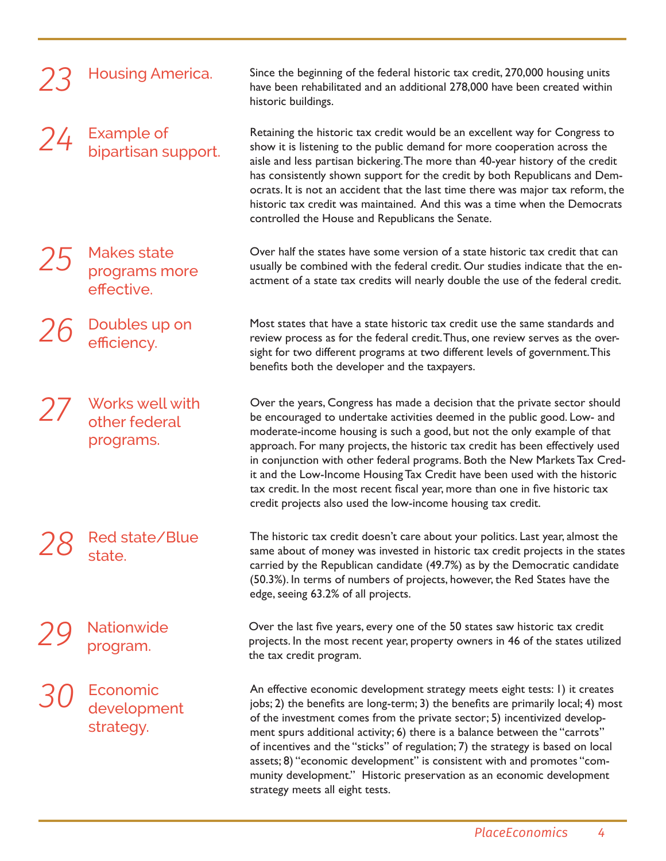|    | <b>Housing America.</b>                           | Since the beginning of the federal historic tax credit, 270,000 housing units<br>have been rehabilitated and an additional 278,000 have been created within<br>historic buildings.                                                                                                                                                                                                                                                                                                                                                                                                                                                  |
|----|---------------------------------------------------|-------------------------------------------------------------------------------------------------------------------------------------------------------------------------------------------------------------------------------------------------------------------------------------------------------------------------------------------------------------------------------------------------------------------------------------------------------------------------------------------------------------------------------------------------------------------------------------------------------------------------------------|
| 24 | Example of<br>bipartisan support.                 | Retaining the historic tax credit would be an excellent way for Congress to<br>show it is listening to the public demand for more cooperation across the<br>aisle and less partisan bickering. The more than 40-year history of the credit<br>has consistently shown support for the credit by both Republicans and Dem-<br>ocrats. It is not an accident that the last time there was major tax reform, the<br>historic tax credit was maintained. And this was a time when the Democrats<br>controlled the House and Republicans the Senate.                                                                                      |
|    | <b>Makes state</b><br>programs more<br>effective. | Over half the states have some version of a state historic tax credit that can<br>usually be combined with the federal credit. Our studies indicate that the en-<br>actment of a state tax credits will nearly double the use of the federal credit.                                                                                                                                                                                                                                                                                                                                                                                |
|    | Doubles up on<br>efficiency.                      | Most states that have a state historic tax credit use the same standards and<br>review process as for the federal credit. Thus, one review serves as the over-<br>sight for two different programs at two different levels of government. This<br>benefits both the developer and the taxpayers.                                                                                                                                                                                                                                                                                                                                    |
|    | Works well with<br>other federal<br>programs.     | Over the years, Congress has made a decision that the private sector should<br>be encouraged to undertake activities deemed in the public good. Low- and<br>moderate-income housing is such a good, but not the only example of that<br>approach. For many projects, the historic tax credit has been effectively used<br>in conjunction with other federal programs. Both the New Markets Tax Cred-<br>it and the Low-Income Housing Tax Credit have been used with the historic<br>tax credit. In the most recent fiscal year, more than one in five historic tax<br>credit projects also used the low-income housing tax credit. |
|    | $\mathcal{D}\mathcal{Q}$ Red state/Blue<br>state. | The historic tax credit doesn't care about your politics. Last year, almost the<br>same about of money was invested in historic tax credit projects in the states<br>carried by the Republican candidate (49.7%) as by the Democratic candidate<br>(50.3%). In terms of numbers of projects, however, the Red States have the<br>edge, seeing 63.2% of all projects.                                                                                                                                                                                                                                                                |
|    | Nationwide<br>program.                            | Over the last five years, every one of the 50 states saw historic tax credit<br>projects. In the most recent year, property owners in 46 of the states utilized<br>the tax credit program.                                                                                                                                                                                                                                                                                                                                                                                                                                          |
|    | Economic<br>development<br>strategy.              | An effective economic development strategy meets eight tests: I) it creates<br>jobs; 2) the benefits are long-term; 3) the benefits are primarily local; 4) most<br>of the investment comes from the private sector; 5) incentivized develop-<br>ment spurs additional activity; 6) there is a balance between the "carrots"<br>of incentives and the "sticks" of regulation; 7) the strategy is based on local<br>assets; 8) "economic development" is consistent with and promotes "com-                                                                                                                                          |

strategy meets all eight tests.

munity development." Historic preservation as an economic development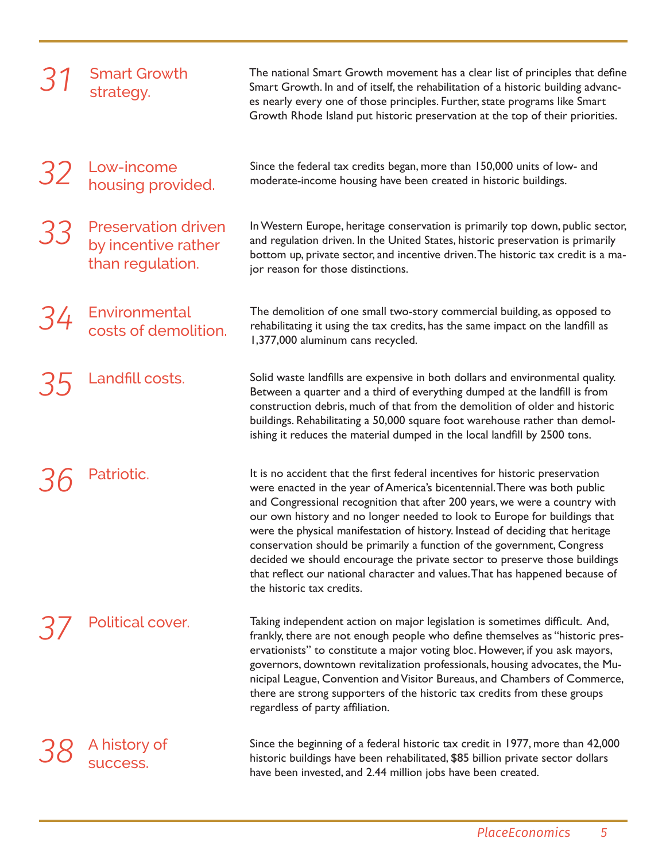|    | <b>Smart Growth</b><br>strategy.                                      | The national Smart Growth movement has a clear list of principles that define<br>Smart Growth. In and of itself, the rehabilitation of a historic building advanc-<br>es nearly every one of those principles. Further, state programs like Smart<br>Growth Rhode Island put historic preservation at the top of their priorities.                                                                                                                                                                                                                                                                                                                                           |
|----|-----------------------------------------------------------------------|------------------------------------------------------------------------------------------------------------------------------------------------------------------------------------------------------------------------------------------------------------------------------------------------------------------------------------------------------------------------------------------------------------------------------------------------------------------------------------------------------------------------------------------------------------------------------------------------------------------------------------------------------------------------------|
| 32 | Low-income<br>housing provided.                                       | Since the federal tax credits began, more than 150,000 units of low- and<br>moderate-income housing have been created in historic buildings.                                                                                                                                                                                                                                                                                                                                                                                                                                                                                                                                 |
| 33 | <b>Preservation driven</b><br>by incentive rather<br>than regulation. | In Western Europe, heritage conservation is primarily top down, public sector,<br>and regulation driven. In the United States, historic preservation is primarily<br>bottom up, private sector, and incentive driven. The historic tax credit is a ma-<br>jor reason for those distinctions.                                                                                                                                                                                                                                                                                                                                                                                 |
| 34 | Environmental<br>costs of demolition.                                 | The demolition of one small two-story commercial building, as opposed to<br>rehabilitating it using the tax credits, has the same impact on the landfill as<br>1,377,000 aluminum cans recycled.                                                                                                                                                                                                                                                                                                                                                                                                                                                                             |
|    | Landfill costs.                                                       | Solid waste landfills are expensive in both dollars and environmental quality.<br>Between a quarter and a third of everything dumped at the landfill is from<br>construction debris, much of that from the demolition of older and historic<br>buildings. Rehabilitating a 50,000 square foot warehouse rather than demol-<br>ishing it reduces the material dumped in the local landfill by 2500 tons.                                                                                                                                                                                                                                                                      |
|    | Patriotic.                                                            | It is no accident that the first federal incentives for historic preservation<br>were enacted in the year of America's bicentennial. There was both public<br>and Congressional recognition that after 200 years, we were a country with<br>our own history and no longer needed to look to Europe for buildings that<br>were the physical manifestation of history. Instead of deciding that heritage<br>conservation should be primarily a function of the government, Congress<br>decided we should encourage the private sector to preserve those buildings<br>that reflect our national character and values. That has happened because of<br>the historic tax credits. |
|    | Political cover.                                                      | Taking independent action on major legislation is sometimes difficult. And,<br>frankly, there are not enough people who define themselves as "historic pres-<br>ervationists" to constitute a major voting bloc. However, if you ask mayors,<br>governors, downtown revitalization professionals, housing advocates, the Mu-<br>nicipal League, Convention and Visitor Bureaus, and Chambers of Commerce,<br>there are strong supporters of the historic tax credits from these groups<br>regardless of party affiliation.                                                                                                                                                   |
|    | A history of<br>success.                                              | Since the beginning of a federal historic tax credit in 1977, more than 42,000<br>historic buildings have been rehabilitated, \$85 billion private sector dollars<br>have been invested, and 2.44 million jobs have been created.                                                                                                                                                                                                                                                                                                                                                                                                                                            |